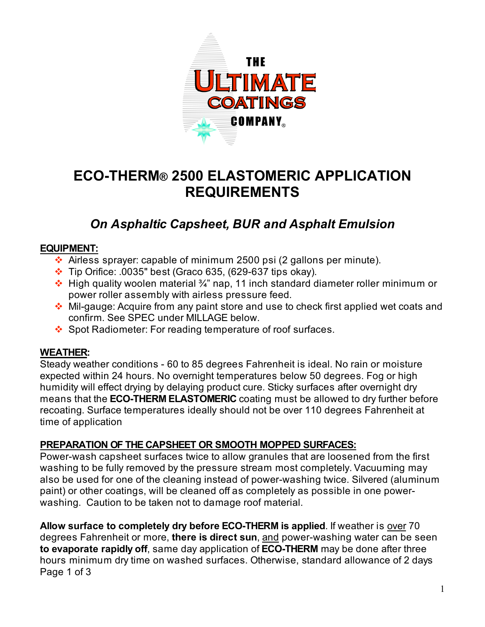

# **ECO-THERM® 2500 ELASTOMERIC APPLICATION REQUIREMENTS**

# *On Asphaltic Capsheet, BUR and Asphalt Emulsion*

# **EQUIPMENT:**

- $\cdot$  Airless sprayer: capable of minimum 2500 psi (2 gallons per minute).
- $\div$  Tip Orifice: .0035" best (Graco 635, (629-637 tips okay).
- $\cdot$  High quality woolen material  $\frac{3}{4}$ " nap, 11 inch standard diameter roller minimum or power roller assembly with airless pressure feed.
- Mil-gauge: Acquire from any paint store and use to check first applied wet coats and confirm. See SPEC under MILLAGE below.
- ❖ Spot Radiometer: For reading temperature of roof surfaces.

# **WEATHER:**

Steady weather conditions - 60 to 85 degrees Fahrenheit is ideal. No rain or moisture expected within 24 hours. No overnight temperatures below 50 degrees. Fog or high humidity will effect drying by delaying product cure. Sticky surfaces after overnight dry means that the **ECO-THERM ELASTOMERIC** coating must be allowed to dry further before recoating. Surface temperatures ideally should not be over 110 degrees Fahrenheit at time of application

# **PREPARATION OF THE CAPSHEET OR SMOOTH MOPPED SURFACES:**

Power-wash capsheet surfaces twice to allow granules that are loosened from the first washing to be fully removed by the pressure stream most completely. Vacuuming may also be used for one of the cleaning instead of power-washing twice. Silvered (aluminum paint) or other coatings, will be cleaned off as completely as possible in one powerwashing. Caution to be taken not to damage roof material.

**Allow surface to completely dry before ECO-THERM is applied**. If weather is over 70 degrees Fahrenheit or more, **there is direct sun**, and power-washing water can be seen **to evaporate rapidly off**, same day application of **ECO-THERM** may be done after three hours minimum dry time on washed surfaces. Otherwise, standard allowance of 2 days Page 1 of 3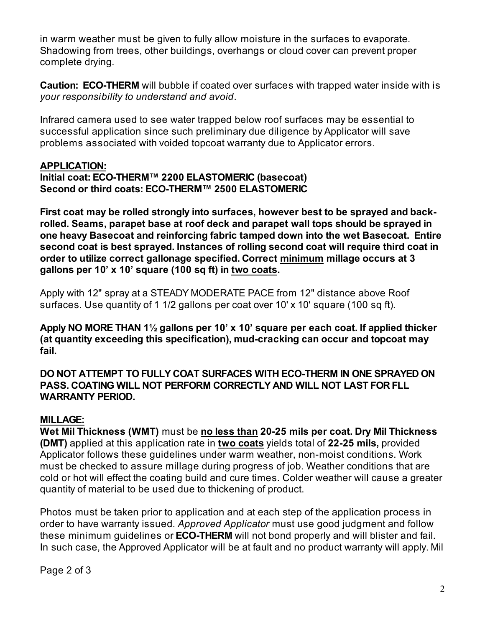in warm weather must be given to fully allow moisture in the surfaces to evaporate. Shadowing from trees, other buildings, overhangs or cloud cover can prevent proper complete drying.

**Caution: ECO-THERM** will bubble if coated over surfaces with trapped water inside with is *your responsibility to understand and avoid*.

Infrared camera used to see water trapped below roof surfaces may be essential to successful application since such preliminary due diligence by Applicator will save problems associated with voided topcoat warranty due to Applicator errors.

#### **APPLICATION:**

#### **Initial coat: ECO-THERM™ 2200 ELASTOMERIC (basecoat) Second or third coats: ECO-THERM™ 2500 ELASTOMERIC**

**First coat may be rolled strongly into surfaces, however best to be sprayed and backrolled. Seams, parapet base at roof deck and parapet wall tops should be sprayed in one heavy Basecoat and reinforcing fabric tamped down into the wet Basecoat. Entire second coat is best sprayed. Instances of rolling second coat will require third coat in order to utilize correct gallonage specified. Correct minimum millage occurs at 3 gallons per 10' x 10' square (100 sq ft) in two coats.**

Apply with 12" spray at a STEADY MODERATE PACE from 12" distance above Roof surfaces. Use quantity of 1 1/2 gallons per coat over 10' x 10' square (100 sq ft).

**Apply NO MORE THAN 1½ gallons per 10' x 10' square per each coat. If applied thicker (at quantity exceeding this specification), mud-cracking can occur and topcoat may fail.**

**DO NOT ATTEMPT TO FULLY COAT SURFACES WITH ECO-THERM IN ONE SPRAYED ON PASS. COATING WILL NOT PERFORM CORRECTLY AND WILL NOT LAST FOR FLL WARRANTY PERIOD.**

#### **MILLAGE:**

**Wet Mil Thickness (WMT)** must be **no less than 20-25 mils per coat. Dry Mil Thickness (DMT)** applied at this application rate in **two coats** yields total of **22-25 mils,** provided Applicator follows these guidelines under warm weather, non-moist conditions. Work must be checked to assure millage during progress of job. Weather conditions that are cold or hot will effect the coating build and cure times. Colder weather will cause a greater quantity of material to be used due to thickening of product.

Photos must be taken prior to application and at each step of the application process in order to have warranty issued. *Approved Applicator* must use good judgment and follow these minimum guidelines or **ECO-THERM** will not bond properly and will blister and fail. In such case, the Approved Applicator will be at fault and no product warranty will apply. Mil